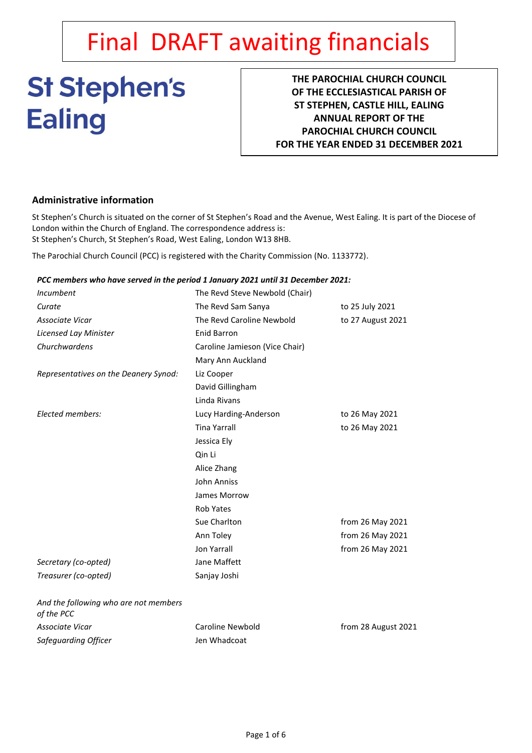# Final DRAFT awaiting financials

# **St Stephen's Ealing**

**THE PAROCHIAL CHURCH COUNCIL OF THE ECCLESIASTICAL PARISH OF ST STEPHEN, CASTLE HILL, EALING ANNUAL REPORT OF THE PAROCHIAL CHURCH COUNCIL FOR THE YEAR ENDED 31 DECEMBER 2021**

# **Administrative information**

St Stephen's Church is situated on the corner of St Stephen's Road and the Avenue, West Ealing. It is part of the Diocese of London within the Church of England. The correspondence address is: St Stephen's Church, St Stephen's Road, West Ealing, London W13 8HB.

The Parochial Church Council (PCC) is registered with the Charity Commission (No. 1133772).

# *PCC members who have served in the period 1 January 2021 until 31 December 2021:*

| <b>Incumbent</b>                                    | The Revd Steve Newbold (Chair) |                     |
|-----------------------------------------------------|--------------------------------|---------------------|
| Curate                                              | The Revd Sam Sanya             | to 25 July 2021     |
| Associate Vicar                                     | The Revd Caroline Newbold      | to 27 August 2021   |
| Licensed Lay Minister                               | <b>Enid Barron</b>             |                     |
| Churchwardens                                       | Caroline Jamieson (Vice Chair) |                     |
|                                                     | Mary Ann Auckland              |                     |
| Representatives on the Deanery Synod:               | Liz Cooper                     |                     |
|                                                     | David Gillingham               |                     |
|                                                     | Linda Rivans                   |                     |
| Elected members:                                    | Lucy Harding-Anderson          | to 26 May 2021      |
|                                                     | <b>Tina Yarrall</b>            | to 26 May 2021      |
|                                                     | Jessica Ely                    |                     |
|                                                     | Qin Li                         |                     |
|                                                     | Alice Zhang                    |                     |
|                                                     | John Anniss                    |                     |
|                                                     | James Morrow                   |                     |
|                                                     | <b>Rob Yates</b>               |                     |
|                                                     | Sue Charlton                   | from 26 May 2021    |
|                                                     | Ann Toley                      | from 26 May 2021    |
|                                                     | <b>Jon Yarrall</b>             | from 26 May 2021    |
| Secretary (co-opted)                                | Jane Maffett                   |                     |
| Treasurer (co-opted)                                | Sanjay Joshi                   |                     |
| And the following who are not members<br>of the PCC |                                |                     |
| Associate Vicar                                     | Caroline Newbold               | from 28 August 2021 |
| Safeguarding Officer                                | Jen Whadcoat                   |                     |
|                                                     |                                |                     |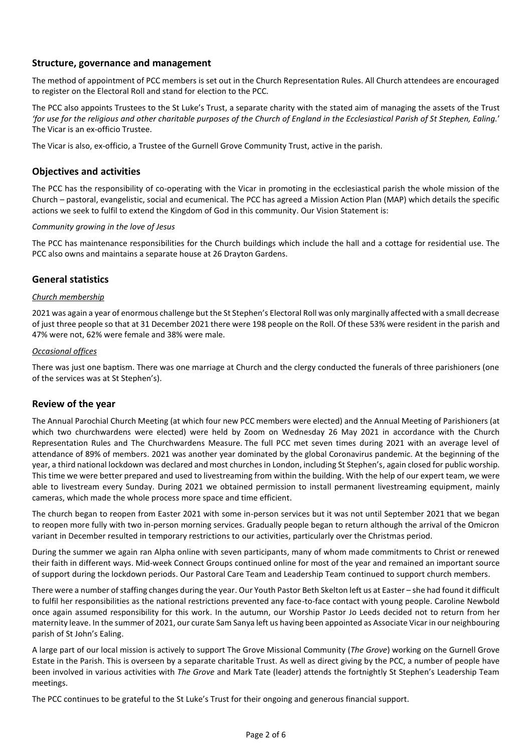# **Structure, governance and management**

The method of appointment of PCC members is set out in the Church Representation Rules. All Church attendees are encouraged to register on the Electoral Roll and stand for election to the PCC.

The PCC also appoints Trustees to the St Luke's Trust, a separate charity with the stated aim of managing the assets of the Trust *'for use for the religious and other charitable purposes of the Church of England in the Ecclesiastical Parish of St Stephen, Ealing.*' The Vicar is an ex-officio Trustee.

The Vicar is also, ex-officio, a Trustee of the Gurnell Grove Community Trust, active in the parish.

# **Objectives and activities**

The PCC has the responsibility of co-operating with the Vicar in promoting in the ecclesiastical parish the whole mission of the Church – pastoral, evangelistic, social and ecumenical. The PCC has agreed a Mission Action Plan (MAP) which details the specific actions we seek to fulfil to extend the Kingdom of God in this community. Our Vision Statement is:

### *Community growing in the love of Jesus*

The PCC has maintenance responsibilities for the Church buildings which include the hall and a cottage for residential use. The PCC also owns and maintains a separate house at 26 Drayton Gardens.

# **General statistics**

### *Church membership*

2021 was again a year of enormous challenge but the St Stephen's Electoral Roll was only marginally affected with a small decrease of just three people so that at 31 December 2021 there were 198 people on the Roll. Of these 53% were resident in the parish and 47% were not, 62% were female and 38% were male.

#### *Occasional offices*

There was just one baptism. There was one marriage at Church and the clergy conducted the funerals of three parishioners (one of the services was at St Stephen's).

### **Review of the year**

The Annual Parochial Church Meeting (at which four new PCC members were elected) and the Annual Meeting of Parishioners (at which two churchwardens were elected) were held by Zoom on Wednesday 26 May 2021 in accordance with the Church Representation Rules and The Churchwardens Measure. The full PCC met seven times during 2021 with an average level of attendance of 89% of members. 2021 was another year dominated by the global Coronavirus pandemic. At the beginning of the year, a third national lockdown was declared and most churches in London, including St Stephen's, again closed for public worship. This time we were better prepared and used to livestreaming from within the building. With the help of our expert team, we were able to livestream every Sunday. During 2021 we obtained permission to install permanent livestreaming equipment, mainly cameras, which made the whole process more space and time efficient.

The church began to reopen from Easter 2021 with some in-person services but it was not until September 2021 that we began to reopen more fully with two in-person morning services. Gradually people began to return although the arrival of the Omicron variant in December resulted in temporary restrictions to our activities, particularly over the Christmas period.

During the summer we again ran Alpha online with seven participants, many of whom made commitments to Christ or renewed their faith in different ways. Mid-week Connect Groups continued online for most of the year and remained an important source of support during the lockdown periods. Our Pastoral Care Team and Leadership Team continued to support church members.

There were a number of staffing changes during the year. Our Youth Pastor Beth Skelton left us at Easter – she had found it difficult to fulfil her responsibilities as the national restrictions prevented any face-to-face contact with young people. Caroline Newbold once again assumed responsibility for this work. In the autumn, our Worship Pastor Jo Leeds decided not to return from her maternity leave. In the summer of 2021, our curate Sam Sanya left us having been appointed as Associate Vicar in our neighbouring parish of St John's Ealing.

A large part of our local mission is actively to support The Grove Missional Community (*The Grove*) working on the Gurnell Grove Estate in the Parish. This is overseen by a separate charitable Trust. As well as direct giving by the PCC, a number of people have been involved in various activities with *The Grove* and Mark Tate (leader) attends the fortnightly St Stephen's Leadership Team meetings.

The PCC continues to be grateful to the St Luke's Trust for their ongoing and generous financial support.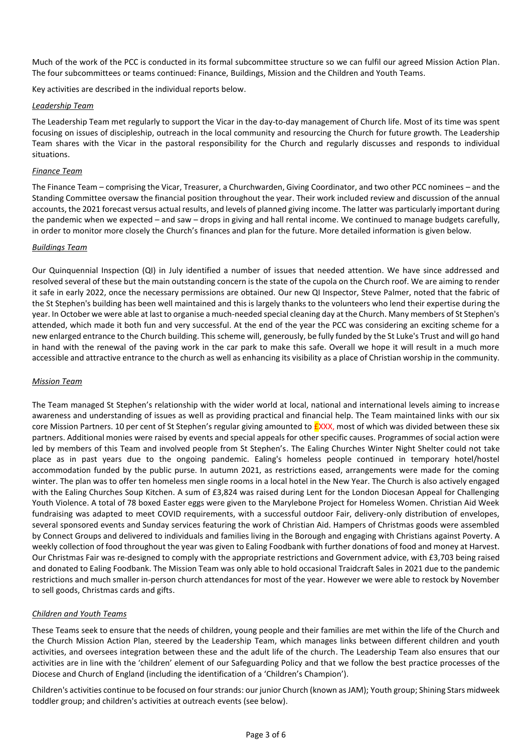Much of the work of the PCC is conducted in its formal subcommittee structure so we can fulfil our agreed Mission Action Plan. The four subcommittees or teams continued: Finance, Buildings, Mission and the Children and Youth Teams.

Key activities are described in the individual reports below.

# *Leadership Team*

The Leadership Team met regularly to support the Vicar in the day-to-day management of Church life. Most of its time was spent focusing on issues of discipleship, outreach in the local community and resourcing the Church for future growth. The Leadership Team shares with the Vicar in the pastoral responsibility for the Church and regularly discusses and responds to individual situations.

# *Finance Team*

The Finance Team – comprising the Vicar, Treasurer, a Churchwarden, Giving Coordinator, and two other PCC nominees – and the Standing Committee oversaw the financial position throughout the year. Their work included review and discussion of the annual accounts, the 2021 forecast versus actual results, and levels of planned giving income. The latter was particularly important during the pandemic when we expected – and saw – drops in giving and hall rental income. We continued to manage budgets carefully, in order to monitor more closely the Church's finances and plan for the future. More detailed information is given below.

### *Buildings Team*

Our Quinquennial Inspection (QI) in July identified a number of issues that needed attention. We have since addressed and resolved several of these but the main outstanding concern is the state of the cupola on the Church roof. We are aiming to render it safe in early 2022, once the necessary permissions are obtained. Our new QI Inspector, Steve Palmer, noted that the fabric of the St Stephen's building has been well maintained and this is largely thanks to the volunteers who lend their expertise during the year. In October we were able at last to organise a much-needed special cleaning day at the Church. Many members of St Stephen's attended, which made it both fun and very successful. At the end of the year the PCC was considering an exciting scheme for a new enlarged entrance to the Church building. This scheme will, generously, be fully funded by the St Luke's Trust and will go hand in hand with the renewal of the paving work in the car park to make this safe. Overall we hope it will result in a much more accessible and attractive entrance to the church as well as enhancing its visibility as a place of Christian worship in the community.

# *Mission Team*

The Team managed St Stephen's relationship with the wider world at local, national and international levels aiming to increase awareness and understanding of issues as well as providing practical and financial help. The Team maintained links with our six core Mission Partners. 10 per cent of St Stephen's regular giving amounted to **EXXX**, most of which was divided between these six partners. Additional monies were raised by events and special appeals for other specific causes. Programmes of social action were led by members of this Team and involved people from St Stephen's. The Ealing Churches Winter Night Shelter could not take place as in past years due to the ongoing pandemic. Ealing's homeless people continued in temporary hotel/hostel accommodation funded by the public purse. In autumn 2021, as restrictions eased, arrangements were made for the coming winter. The plan was to offer ten homeless men single rooms in a local hotel in the New Year. The Church is also actively engaged with the Ealing Churches Soup Kitchen. A sum of £3,824 was raised during Lent for the London Diocesan Appeal for Challenging Youth Violence. A total of 78 boxed Easter eggs were given to the Marylebone Project for Homeless Women. Christian Aid Week fundraising was adapted to meet COVID requirements, with a successful outdoor Fair, delivery-only distribution of envelopes, several sponsored events and Sunday services featuring the work of Christian Aid. Hampers of Christmas goods were assembled by Connect Groups and delivered to individuals and families living in the Borough and engaging with Christians against Poverty. A weekly collection of food throughout the year was given to Ealing Foodbank with further donations of food and money at Harvest. Our Christmas Fair was re-designed to comply with the appropriate restrictions and Government advice, with £3,703 being raised and donated to Ealing Foodbank. The Mission Team was only able to hold occasional Traidcraft Sales in 2021 due to the pandemic restrictions and much smaller in-person church attendances for most of the year. However we were able to restock by November to sell goods, Christmas cards and gifts.

# *Children and Youth Teams*

These Teams seek to ensure that the needs of children, young people and their families are met within the life of the Church and the Church Mission Action Plan, steered by the Leadership Team, which manages links between different children and youth activities, and oversees integration between these and the adult life of the church. The Leadership Team also ensures that our activities are in line with the 'children' element of our Safeguarding Policy and that we follow the best practice processes of the Diocese and Church of England (including the identification of a 'Children's Champion').

Children's activities continue to be focused on four strands: our junior Church (known as JAM); Youth group; Shining Stars midweek toddler group; and children's activities at outreach events (see below).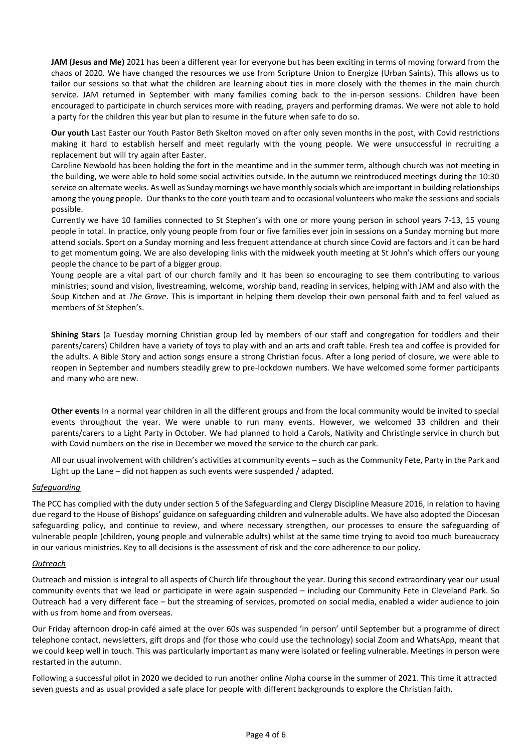**JAM (Jesus and Me)** 2021 has been a different year for everyone but has been exciting in terms of moving forward from the chaos of 2020. We have changed the resources we use from Scripture Union to Energize (Urban Saints). This allows us to tailor our sessions so that what the children are learning about ties in more closely with the themes in the main church service. JAM returned in September with many families coming back to the in-person sessions. Children have been encouraged to participate in church services more with reading, prayers and performing dramas. We were not able to hold a party for the children this year but plan to resume in the future when safe to do so.

**Our youth** Last Easter our Youth Pastor Beth Skelton moved on after only seven months in the post, with Covid restrictions making it hard to establish herself and meet regularly with the young people. We were unsuccessful in recruiting a replacement but will try again after Easter.

Caroline Newbold has been holding the fort in the meantime and in the summer term, although church was not meeting in the building, we were able to hold some social activities outside. In the autumn we reintroduced meetings during the 10:30 service on alternate weeks. As well as Sunday mornings we have monthly socials which are important in building relationships among the young people. Our thanks to the core youth team and to occasional volunteers who make the sessions and socials possible.

Currently we have 10 families connected to St Stephen's with one or more young person in school years 7-13, 15 young people in total. In practice, only young people from four or five families ever join in sessions on a Sunday morning but more attend socials. Sport on a Sunday morning and less frequent attendance at church since Covid are factors and it can be hard to get momentum going. We are also developing links with the midweek youth meeting at St John's which offers our young people the chance to be part of a bigger group.

Young people are a vital part of our church family and it has been so encouraging to see them contributing to various ministries; sound and vision, livestreaming, welcome, worship band, reading in services, helping with JAM and also with the Soup Kitchen and at *The Grove*. This is important in helping them develop their own personal faith and to feel valued as members of St Stephen's.

**Shining Stars** (a Tuesday morning Christian group led by members of our staff and congregation for toddlers and their parents/carers) Children have a variety of toys to play with and an arts and craft table. Fresh tea and coffee is provided for the adults. A Bible Story and action songs ensure a strong Christian focus. After a long period of closure, we were able to reopen in September and numbers steadily grew to pre-lockdown numbers. We have welcomed some former participants and many who are new.

**Other events** In a normal year children in all the different groups and from the local community would be invited to special events throughout the year. We were unable to run many events. However, we welcomed 33 children and their parents/carers to a Light Party in October. We had planned to hold a Carols, Nativity and Christingle service in church but with Covid numbers on the rise in December we moved the service to the church car park.

All our usual involvement with children's activities at community events – such as the Community Fete, Party in the Park and Light up the Lane – did not happen as such events were suspended / adapted.

### *Safeguarding*

The PCC has complied with the duty under section 5 of the Safeguarding and Clergy Discipline Measure 2016, in relation to having due regard to the House of Bishops' guidance on safeguarding children and vulnerable adults. We have also adopted the Diocesan safeguarding policy, and continue to review, and where necessary strengthen, our processes to ensure the safeguarding of vulnerable people (children, young people and vulnerable adults) whilst at the same time trying to avoid too much bureaucracy in our various ministries. Key to all decisions is the assessment of risk and the core adherence to our policy.

#### *Outreach*

Outreach and mission is integral to all aspects of Church life throughout the year. During this second extraordinary year our usual community events that we lead or participate in were again suspended – including our Community Fete in Cleveland Park. So Outreach had a very different face – but the streaming of services, promoted on social media, enabled a wider audience to join with us from home and from overseas.

Our Friday afternoon drop-in café aimed at the over 60s was suspended 'in person' until September but a programme of direct telephone contact, newsletters, gift drops and (for those who could use the technology) social Zoom and WhatsApp, meant that we could keep well in touch. This was particularly important as many were isolated or feeling vulnerable. Meetings in person were restarted in the autumn.

Following a successful pilot in 2020 we decided to run another online Alpha course in the summer of 2021. This time it attracted seven guests and as usual provided a safe place for people with different backgrounds to explore the Christian faith.